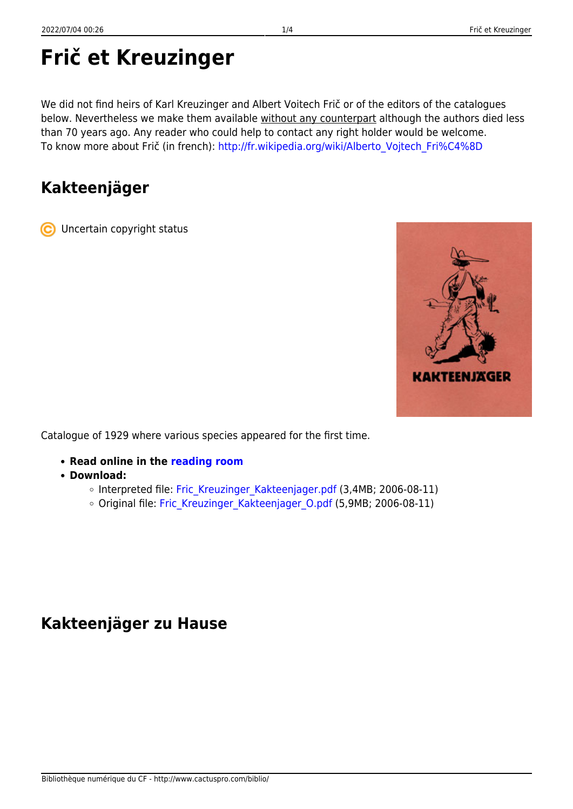# **Frič et Kreuzinger**

We did not find heirs of Karl Kreuzinger and Albert Voitech Frič or of the editors of the catalogues below. Nevertheless we make them available without any counterpart although the authors died less than 70 years ago. Any reader who could help to contact any right holder would be welcome. To know more about Frič (in french): http://fr.wikipedia.org/wiki/Alberto Vojtech Fri%C4%8D

## **Kakteenjäger**

Uncertain copyright status



- **Read online in the [reading room](https://www.cactuspro.com/lecture/Fric-Kreuzinger/Kakteenjager/page-1.en.html)**
- **Download:**
	- o Interpreted file: Fric Kreuzinger Kakteenjager.pdf (3,4MB; 2006-08-11)
	- o Original file: Fric Kreuzinger Kakteenjager O.pdf (5,9MB; 2006-08-11)

### **Kakteenjäger zu Hause**

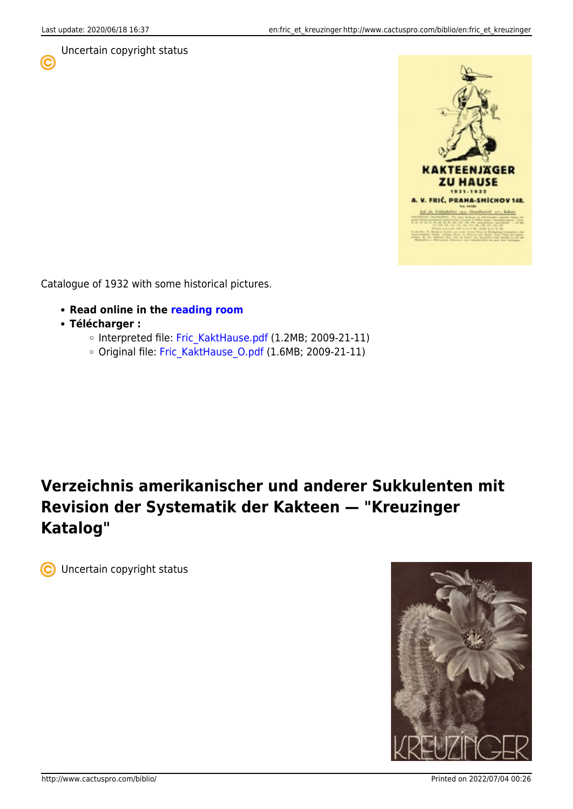C

#### Uncertain copyright status



Catalogue of 1932 with some historical pictures.

- **Read online in the [reading room](https://www.cactuspro.com/lecture/Fric-Kreuzinger/KaktHause/page-1.html)**
- **Télécharger :**
	- o Interpreted file: [Fric\\_KaktHause.pdf](https://www.cactuspro.com/biblio_fichiers/pdf/Fric_Kreuzinger/Fric_KaktHause.pdf) (1.2MB; 2009-21-11)
	- o Original file: Fric KaktHause O.pdf (1.6MB; 2009-21-11)

# **Verzeichnis amerikanischer und anderer Sukkulenten mit Revision der Systematik der Kakteen — "Kreuzinger Katalog"**

**C** Uncertain copyright status

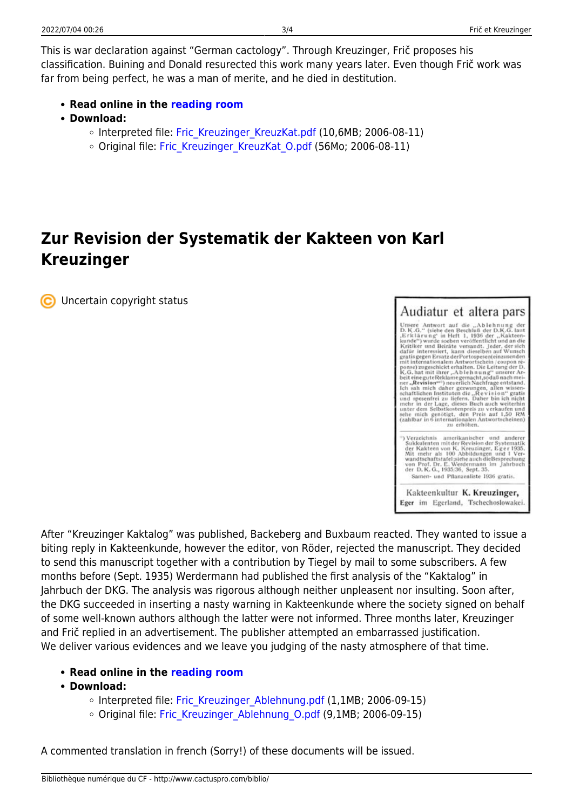This is war declaration against "German cactology". Through Kreuzinger, Frič proposes his classification. Buining and Donald resurected this work many years later. Even though Frič work was far from being perfect, he was a man of merite, and he died in destitution.

- **Read online in the [reading room](https://www.cactuspro.com/lecture/Fric-Kreuzinger/Verzeichnis-amerikanischer/page-1.en.html)**
- **Download:**
	- o Interpreted file: Fric Kreuzinger KreuzKat.pdf (10,6MB; 2006-08-11)
	- Original file: Fric Kreuzinger KreuzKat O.pdf (56Mo; 2006-08-11)

## **Zur Revision der Systematik der Kakteen von Karl Kreuzinger**

Uncertain copyright status



After "Kreuzinger Kaktalog" was published, Backeberg and Buxbaum reacted. They wanted to issue a biting reply in Kakteenkunde, however the editor, von Röder, rejected the manuscript. They decided to send this manuscript together with a contribution by Tiegel by mail to some subscribers. A few months before (Sept. 1935) Werdermann had published the first analysis of the "Kaktalog" in Jahrbuch der DKG. The analysis was rigorous although neither unpleasent nor insulting. Soon after, the DKG succeeded in inserting a nasty warning in Kakteenkunde where the society signed on behalf of some well-known authors although the latter were not informed. Three months later, Kreuzinger and Frič replied in an advertisement. The publisher attempted an embarrassed justification. We deliver various evidences and we leave you judging of the nasty atmosphere of that time.

#### **Read online in the [reading room](https://www.cactuspro.com/lecture/Fric-Kreuzinger/Zur-Revision/page-1.en.html)**

- **Download:**
	- $\circ$  Interpreted file: Fric Kreuzinger Ablehnung.pdf (1,1MB; 2006-09-15)
	- Original file: Fric Kreuzinger Ablehnung O.pdf (9,1MB; 2006-09-15)

A commented translation in french (Sorry!) of these documents will be issued.